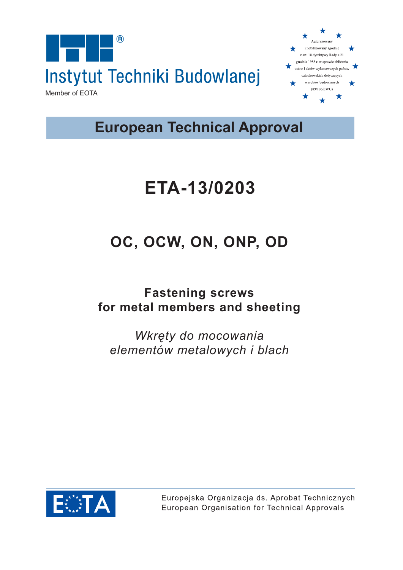



**European Technical Approval**

# **ETA-13/0203**

# **OC, OCW, ON, ONP, OD**

## **Fastening screws for metal members and sheeting**

*Wkręty do mocowania elementów metalowych i blach*



Europejska Organizacja ds. Aprobat Technicznych European Organisation for Technical Approvals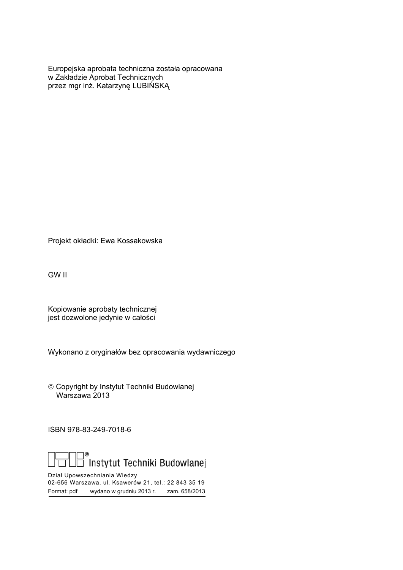Europejska aprobata techniczna została opracowana w Zakładzie Aprobat Technicznych przez mgr inż. Katarzynę LUBIŃSKĄ

Projekt okładki: Ewa Kossakowska

GW II

Kopiowanie aprobaty technicznej jest dozwolone jedynie w całości

Wykonano z oryginałów bez opracowania wydawniczego

 Copyright by Instytut Techniki Budowlanej Warszawa 2013

ISBN 978-83-249-7018-6



Dział Upowszechniania Wiedzy 02-656 Warszawa, ul. Ksawerów 21, tel.: 22 843 35 19 Format: pdf wydano w grudniu 2013 r. zam. 658/2013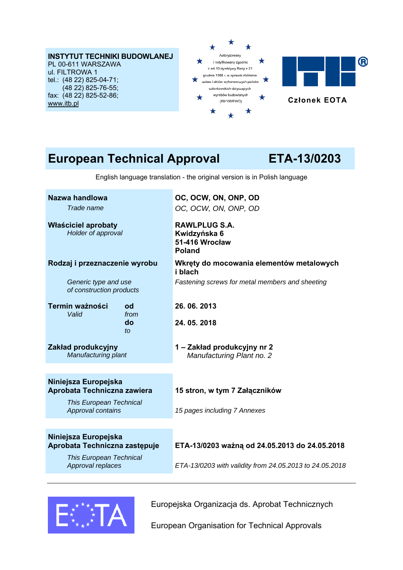#### **INSTYTUT TECHNIKI BUDOWLANEJ** PL 00-611 WARSZAWA ul. FILTROWA 1 tel.: (48 22) 825-04-71; (48 22) 825-76-55;

fax: (48 22) 825-52-86; www.itb.pl



## **European Technical Approval ETA-13/0203**

English language translation - the original version is in Polish language

| Nazwa handlowa                                        | OC, OCW, ON, ONP, OD                                     |
|-------------------------------------------------------|----------------------------------------------------------|
| Trade name                                            | OC, OCW, ON, ONP, OD                                     |
| Właściciel aprobaty<br>Holder of approval             | <b>RAWLPLUG S.A.</b><br>Kwidzyńska 6                     |
|                                                       | 51-416 Wrocław<br><b>Poland</b>                          |
| Rodzaj i przeznaczenie wyrobu                         | Wkręty do mocowania elementów metalowych<br>i blach      |
| Generic type and use<br>of construction products      | Fastening screws for metal members and sheeting          |
| Termin ważności<br>od                                 | 26, 06, 2013                                             |
| Valid<br>from<br>do<br>$\mathfrak{t}$                 | 24, 05, 2018                                             |
| Zakład produkcyjny<br>Manufacturing plant             | 1 - Zakład produkcyjny nr 2<br>Manufacturing Plant no. 2 |
|                                                       |                                                          |
| Niniejsza Europejska<br>Aprobata Techniczna zawiera   | 15 stron, w tym 7 Załączników                            |
| <b>This European Technical</b><br>Approval contains   | 15 pages including 7 Annexes                             |
|                                                       |                                                          |
| Niniejsza Europejska<br>Aprobata Techniczna zastępuje | ETA-13/0203 ważną od 24.05.2013 do 24.05.2018            |

 *This European Technical* 

## *Approval replaces ETA-13/0203 with validity from 24.05.2013 to 24.05.2018*



Europejska Organizacja ds. Aprobat Technicznych

European Organisation for Technical Approvals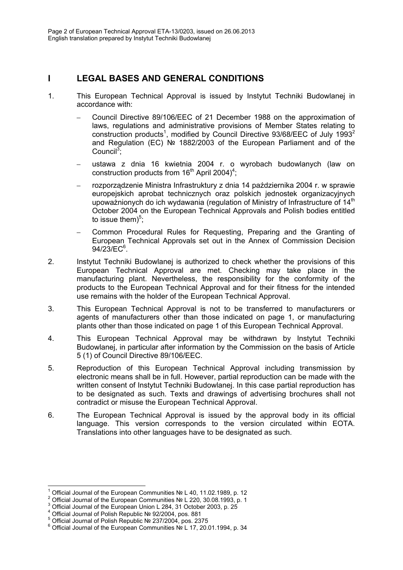### **I LEGAL BASES AND GENERAL CONDITIONS**

- 1. This European Technical Approval is issued by Instytut Techniki Budowlanej in accordance with:
	- Council Directive 89/106/EEC of 21 December 1988 on the approximation of laws, regulations and administrative provisions of Member States relating to construction products<sup>1</sup>, modified by Council Directive 93/68/EEC of July 1993<sup>2</sup> and Regulation (EC) № 1882/2003 of the European Parliament and of the Council<sup>3</sup>;
	- ustawa z dnia 16 kwietnia 2004 r. o wyrobach budowlanych (law on construction products from  $16<sup>th</sup>$  April 2004)<sup>4</sup>;
	- rozporządzenie Ministra Infrastruktury z dnia 14 października 2004 r. w sprawie europejskich aprobat technicznych oraz polskich jednostek organizacyjnych upoważnionych do ich wydawania (regulation of Ministry of Infrastructure of 14<sup>th</sup> October 2004 on the European Technical Approvals and Polish bodies entitled to issue them $)^5$ ;
	- Common Procedural Rules for Requesting, Preparing and the Granting of European Technical Approvals set out in the Annex of Commission Decision  $94/23$ /EC $6$ .
- 2. Instytut Techniki Budowlanej is authorized to check whether the provisions of this European Technical Approval are met. Checking may take place in the manufacturing plant. Nevertheless, the responsibility for the conformity of the products to the European Technical Approval and for their fitness for the intended use remains with the holder of the European Technical Approval.
- 3. This European Technical Approval is not to be transferred to manufacturers or agents of manufacturers other than those indicated on page 1, or manufacturing plants other than those indicated on page 1 of this European Technical Approval.
- 4. This European Technical Approval may be withdrawn by Instytut Techniki Budowlanej, in particular after information by the Commission on the basis of Article 5 (1) of Council Directive 89/106/EEC.
- 5. Reproduction of this European Technical Approval including transmission by electronic means shall be in full. However, partial reproduction can be made with the written consent of Instytut Techniki Budowlanej. In this case partial reproduction has to be designated as such. Texts and drawings of advertising brochures shall not contradict or misuse the European Technical Approval.
- 6. The European Technical Approval is issued by the approval body in its official language. This version corresponds to the version circulated within EOTA. Translations into other languages have to be designated as such.

 $\overline{1}$ 

<sup>1</sup> <sup>1</sup> Official Journal of the European Communities № L 40, 11.02.1989, p. 12<br> $\frac{2 \text{ Off}_2}{2 \text{ Off}_2}$  1.1  $\frac{1}{2 \text{ Off}_2}$  1.1  $\frac{1}{2 \text{ Off}_2}$  1.1  $\frac{1}{2 \text{ Off}_2}$  1.1  $\frac{1}{2 \text{ Off}_2}$  1.1

Official Journal of the European Communities № L 220, 30.08.1993, p. 1 3

Official Journal of the European Union L 284, 31 October 2003, p. 25 4

Official Journal of Polish Republic № 92/2004, pos. 881 5

Official Journal of Polish Republic № 237/2004, pos. 2375 6

Official Journal of the European Communities № L 17, 20.01.1994, p. 34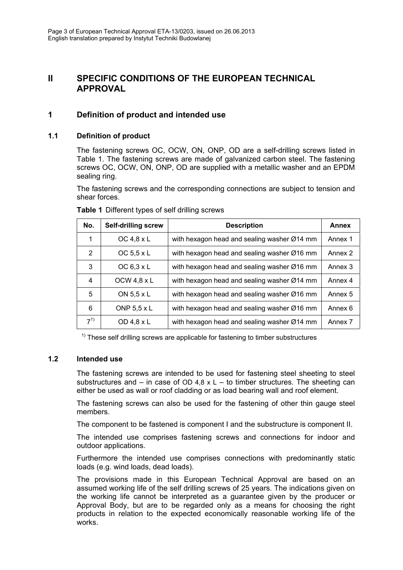### **II SPECIFIC CONDITIONS OF THE EUROPEAN TECHNICAL APPROVAL**

### **1 Definition of product and intended use**

#### **1.1 Definition of product**

The fastening screws OC, OCW, ON, ONP, OD are a self-drilling screws listed in Table 1. The fastening screws are made of galvanized carbon steel. The fastening screws OC, OCW, ON, ONP, OD are supplied with a metallic washer and an EPDM sealing ring.

The fastening screws and the corresponding connections are subject to tension and shear forces.

| No.            | <b>Self-drilling screw</b> | <b>Description</b>                          | <b>Annex</b> |
|----------------|----------------------------|---------------------------------------------|--------------|
|                | OC 4,8 $\times$ L          | with hexagon head and sealing washer Ø14 mm | Annex 1      |
| $\overline{2}$ | OC $5.5 \times L$          | with hexagon head and sealing washer Ø16 mm | Annex 2      |
| 3              | OC $6,3 \times L$          | with hexagon head and sealing washer Ø16 mm | Annex 3      |
| 4              | OCW 4,8 $\times$ L         | with hexagon head and sealing washer Ø14 mm | Annex 4      |
| 5              | ON 5,5 x L                 | with hexagon head and sealing washer Ø16 mm | Annex 5      |
| 6              | ONP $5.5 \times L$         | with hexagon head and sealing washer Ø16 mm | Annex 6      |
| $7^{1)}$       | OD 4,8 x L                 | with hexagon head and sealing washer Ø14 mm | Annex 7      |

**Table 1** Different types of self drilling screws

 $1)$  These self drilling screws are applicable for fastening to timber substructures

#### **1.2 Intended use**

The fastening screws are intended to be used for fastening steel sheeting to steel substructures and – in case of OD 4,8  $\times$  L – to timber structures. The sheeting can either be used as wall or roof cladding or as load bearing wall and roof element.

The fastening screws can also be used for the fastening of other thin gauge steel members.

The component to be fastened is component I and the substructure is component II.

The intended use comprises fastening screws and connections for indoor and outdoor applications.

Furthermore the intended use comprises connections with predominantly static loads (e.g. wind loads, dead loads).

The provisions made in this European Technical Approval are based on an assumed working life of the self drilling screws of 25 years. The indications given on the working life cannot be interpreted as a guarantee given by the producer or Approval Body, but are to be regarded only as a means for choosing the right products in relation to the expected economically reasonable working life of the works.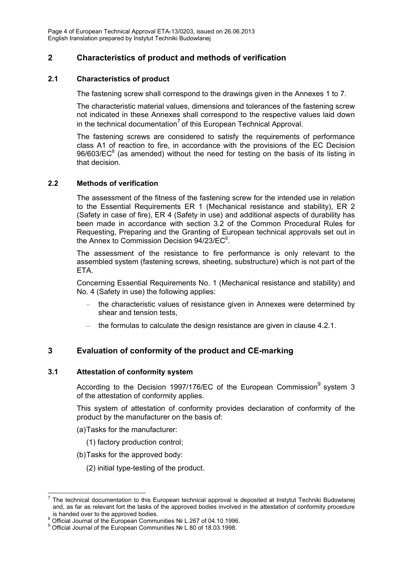Page 4 of European Technical Approval ETA-13/0203, issued on 26.06.2013 English translation prepared by Instytut Techniki Budowlanej

### **2 Characteristics of product and methods of verification**

#### **2.1 Characteristics of product**

The fastening screw shall correspond to the drawings given in the Annexes 1 to 7.

The characteristic material values, dimensions and tolerances of the fastening screw not indicated in these Annexes shall correspond to the respective values laid down in the technical documentation<sup>7</sup> of this European Technical Approval.

The fastening screws are considered to satisfy the requirements of performance class A1 of reaction to fire, in accordance with the provisions of the EC Decision  $96/603/EC<sup>8</sup>$  (as amended) without the need for testing on the basis of its listing in that decision.

#### **2.2 Methods of verification**

The assessment of the fitness of the fastening screw for the intended use in relation to the Essential Requirements ER 1 (Mechanical resistance and stability), ER 2 (Safety in case of fire), ER 4 (Safety in use) and additional aspects of durability has been made in accordance with section 3.2 of the Common Procedural Rules for Requesting, Preparing and the Granting of European technical approvals set out in the Annex to Commission Decision  $94/23$ /EC $6$ .

The assessment of the resistance to fire performance is only relevant to the assembled system (fastening screws, sheeting, substructure) which is not part of the ETA.

Concerning Essential Requirements No. 1 (Mechanical resistance and stability) and No. 4 (Safety in use) the following applies:

- the characteristic values of resistance given in Annexes were determined by shear and tension tests,
- the formulas to calculate the design resistance are given in clause 4.2.1.

#### **3 Evaluation of conformity of the product and CE-marking**

#### **3.1 Attestation of conformity system**

According to the Decision 1997/176/EC of the European Commission system 3 of the attestation of conformity applies.

This system of attestation of conformity provides declaration of conformity of the product by the manufacturer on the basis of:

- (a) Tasks for the manufacturer:
	- (1) factory production control;
- (b) Tasks for the approved body:
	- (2) initial type-testing of the product.

 $\overline{a}$ 7 The technical documentation to this European technical approval is deposited at Instytut Techniki Budowlanej and, as far as relevant fort the tasks of the approved bodies involved in the attestation of conformity procedure is handed over to the approved bodies.<br><sup>8</sup> Official Jaureal of the European Commun

<sup>&</sup>lt;sup>8</sup> Official Journal of the European Communities № L 267 of 04.10.1996.<br><sup>9</sup> Official Journal of the European Communities № L 80 of 19.03.1998.

<sup>&</sup>lt;sup>9</sup> Official Journal of the European Communities № L 80 of 18.03.1998.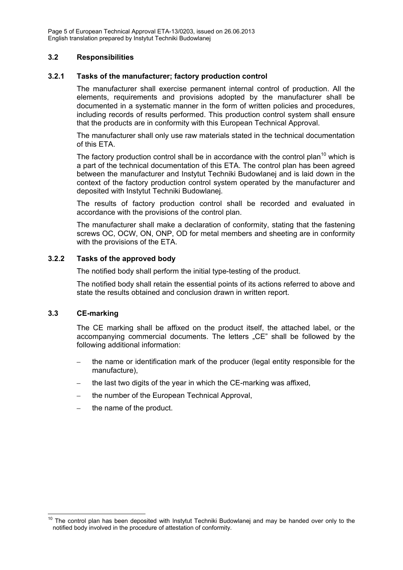Page 5 of European Technical Approval ETA-13/0203, issued on 26.06.2013 English translation prepared by Instytut Techniki Budowlanej

#### **3.2 Responsibilities**

#### **3.2.1 Tasks of the manufacturer; factory production control**

The manufacturer shall exercise permanent internal control of production. All the elements, requirements and provisions adopted by the manufacturer shall be documented in a systematic manner in the form of written policies and procedures, including records of results performed. This production control system shall ensure that the products are in conformity with this European Technical Approval.

The manufacturer shall only use raw materials stated in the technical documentation of this ETA.

The factory production control shall be in accordance with the control plan<sup>10</sup> which is a part of the technical documentation of this ETA. The control plan has been agreed between the manufacturer and Instytut Techniki Budowlanej and is laid down in the context of the factory production control system operated by the manufacturer and deposited with Instytut Techniki Budowlanej.

The results of factory production control shall be recorded and evaluated in accordance with the provisions of the control plan.

The manufacturer shall make a declaration of conformity, stating that the fastening screws OC, OCW, ON, ONP, OD for metal members and sheeting are in conformity with the provisions of the ETA.

#### **3.2.2 Tasks of the approved body**

The notified body shall perform the initial type-testing of the product.

The notified body shall retain the essential points of its actions referred to above and state the results obtained and conclusion drawn in written report.

#### **3.3 CE-marking**

The CE marking shall be affixed on the product itself, the attached label, or the accompanying commercial documents. The letters "CE" shall be followed by the following additional information:

- the name or identification mark of the producer (legal entity responsible for the manufacture),
- the last two digits of the year in which the CE-marking was affixed,
- the number of the European Technical Approval,
- the name of the product.

<sup>-</sup> $10$  The control plan has been deposited with Instytut Techniki Budowlanej and may be handed over only to the notified body involved in the procedure of attestation of conformity.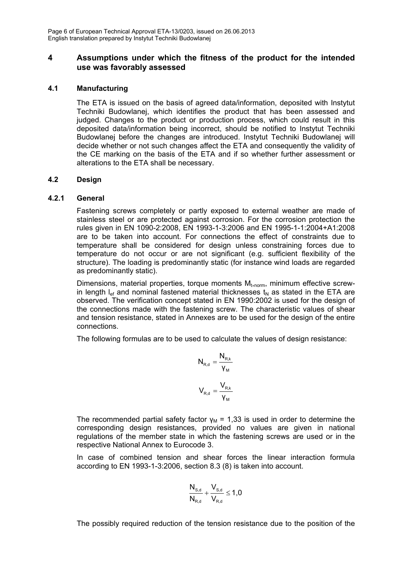#### **4 Assumptions under which the fitness of the product for the intended use was favorably assessed**

#### **4.1 Manufacturing**

The ETA is issued on the basis of agreed data/information, deposited with Instytut Techniki Budowlanej, which identifies the product that has been assessed and judged. Changes to the product or production process, which could result in this deposited data/information being incorrect, should be notified to Instytut Techniki Budowlanej before the changes are introduced. Instytut Techniki Budowlanej will decide whether or not such changes affect the ETA and consequently the validity of the CE marking on the basis of the ETA and if so whether further assessment or alterations to the ETA shall be necessary.

#### **4.2 Design**

#### **4.2.1 General**

Fastening screws completely or partly exposed to external weather are made of stainless steel or are protected against corrosion. For the corrosion protection the rules given in EN 1090-2:2008, EN 1993-1-3:2006 and EN 1995-1-1:2004+A1:2008 are to be taken into account. For connections the effect of constraints due to temperature shall be considered for design unless constraining forces due to temperature do not occur or are not significant (e.g. sufficient flexibility of the structure). The loading is predominantly static (for instance wind loads are regarded as predominantly static).

Dimensions, material properties, torque moments  $M_{t,norm}$ , minimum effective screwin length  $I_{\text{ef}}$  and nominal fastened material thicknesses  $t_N$  as stated in the ETA are observed. The verification concept stated in EN 1990:2002 is used for the design of the connections made with the fastening screw. The characteristic values of shear and tension resistance, stated in Annexes are to be used for the design of the entire connections.

The following formulas are to be used to calculate the values of design resistance:

$$
N_{R,d} = \frac{N_{R,k}}{\gamma_M}
$$

$$
V_{R,d} = \frac{V_{R,k}}{\gamma_M}
$$

The recommended partial safety factor  $v_M$  = 1,33 is used in order to determine the corresponding design resistances, provided no values are given in national regulations of the member state in which the fastening screws are used or in the respective National Annex to Eurocode 3.

In case of combined tension and shear forces the linear interaction formula according to EN 1993-1-3:2006, section 8.3 (8) is taken into account.

$$
\frac{N_{s,\text{d}}}{N_{\text{R},\text{d}}} + \frac{V_{s,\text{d}}}{V_{\text{R},\text{d}}} \leq 1,0
$$

The possibly required reduction of the tension resistance due to the position of the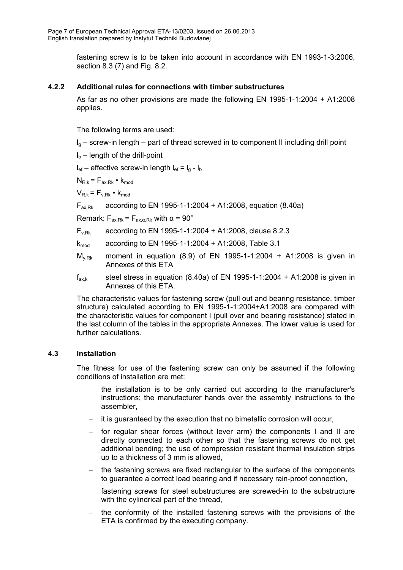fastening screw is to be taken into account in accordance with EN 1993-1-3:2006, section 8.3 (7) and Fig. 8.2.

#### **4.2.2 Additional rules for connections with timber substructures**

As far as no other provisions are made the following EN 1995-1-1:2004 + A1:2008 applies.

The following terms are used:

 $I<sub>a</sub>$  – screw-in length – part of thread screwed in to component II including drill point

 $I_b$  – length of the drill-point

 $I_{\text{ef}}$  – effective screw-in length  $I_{\text{ef}} = I_{\text{g}} - I_{\text{b}}$ 

 $N_{R,k}$  =  $F_{ax,Rk}$  •  $k_{mod}$ 

 $V_{Rk} = F_{V}Rk} \cdot k_{mod}$ 

 $F_{ax,Rx}$  according to EN 1995-1-1:2004 + A1:2008, equation (8.40a)

Remark:  $F_{ax,Rk} = F_{ax,\alpha,Rk}$  with  $\alpha = 90^{\circ}$ 

- $F_{v,Rk}$  according to EN 1995-1-1:2004 + A1:2008, clause 8.2.3
- $k_{mod}$  according to EN 1995-1-1:2004 + A1:2008, Table 3.1
- $M_{v,Rk}$  moment in equation (8.9) of EN 1995-1-1:2004 + A1:2008 is given in Annexes of this ETA
- $f_{ax,k}$  steel stress in equation (8.40a) of EN 1995-1-1:2004 + A1:2008 is given in Annexes of this ETA.

The characteristic values for fastening screw (pull out and bearing resistance, timber structure) calculated according to EN 1995-1-1:2004+A1:2008 are compared with the characteristic values for component I (pull over and bearing resistance) stated in the last column of the tables in the appropriate Annexes. The lower value is used for further calculations.

#### **4.3 Installation**

The fitness for use of the fastening screw can only be assumed if the following conditions of installation are met:

- the installation is to be only carried out according to the manufacturer's instructions; the manufacturer hands over the assembly instructions to the assembler,
- it is guaranteed by the execution that no bimetallic corrosion will occur,
- for regular shear forces (without lever arm) the components I and II are directly connected to each other so that the fastening screws do not get additional bending; the use of compression resistant thermal insulation strips up to a thickness of 3 mm is allowed,
- the fastening screws are fixed rectangular to the surface of the components to guarantee a correct load bearing and if necessary rain-proof connection,
- fastening screws for steel substructures are screwed-in to the substructure with the cylindrical part of the thread,
- the conformity of the installed fastening screws with the provisions of the ETA is confirmed by the executing company.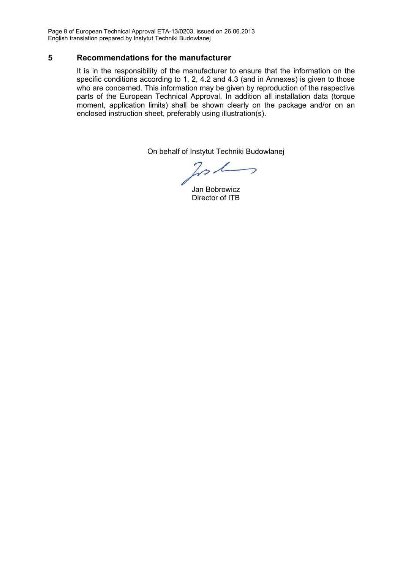Page 8 of European Technical Approval ETA-13/0203, issued on 26.06.2013 English translation prepared by Instytut Techniki Budowlanej

#### **5 Recommendations for the manufacturer**

It is in the responsibility of the manufacturer to ensure that the information on the specific conditions according to 1, 2, 4.2 and 4.3 (and in Annexes) is given to those who are concerned. This information may be given by reproduction of the respective parts of the European Technical Approval. In addition all installation data (torque moment, application limits) shall be shown clearly on the package and/or on an enclosed instruction sheet, preferably using illustration(s).

On behalf of Instytut Techniki Budowlanej

 $221$  $\overline{\phantom{0}}$ 

Jan Bobrowicz Director of ITB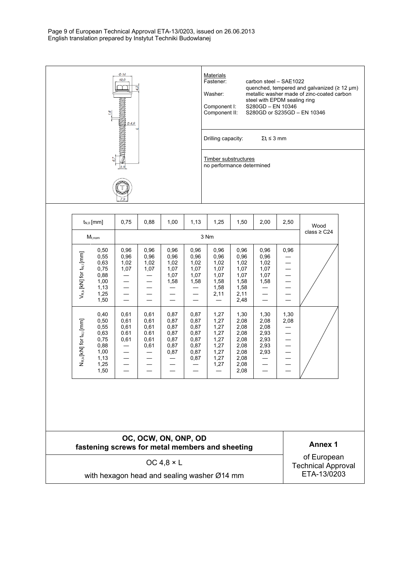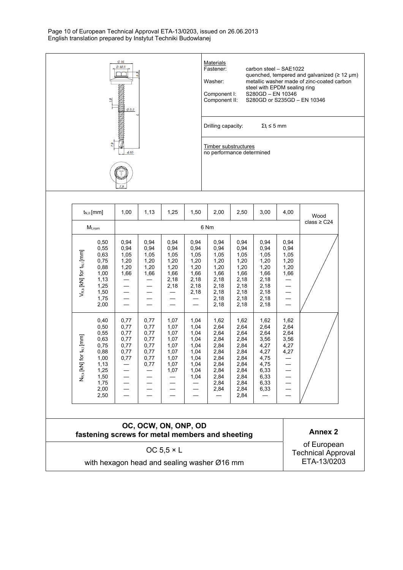Page 10 of European Technical Approval ETA-13/0203, issued on 26.06.2013 English translation prepared by Instytut Techniki Budowlanej



|                                                 | $t_{N,II}$ [mm]                                                                                      | 1,00                                                 | 1,13                                                         | 1,25                                                                 | 1,50                                                                         | 2,00                                                                                         | 2,50                                                                                                 | 3,00                                                                                         | 4,00                                                          | Wood                                                        |
|-------------------------------------------------|------------------------------------------------------------------------------------------------------|------------------------------------------------------|--------------------------------------------------------------|----------------------------------------------------------------------|------------------------------------------------------------------------------|----------------------------------------------------------------------------------------------|------------------------------------------------------------------------------------------------------|----------------------------------------------------------------------------------------------|---------------------------------------------------------------|-------------------------------------------------------------|
|                                                 | $M_{t,nom}$                                                                                          |                                                      |                                                              |                                                                      | class $\geq$ C24                                                             |                                                                                              |                                                                                                      |                                                                                              |                                                               |                                                             |
| $V_{R,k}$ [kN] for $t_{N,l}$ [mm]               | 0,50<br>0,55<br>0,63<br>0,75<br>0,88<br>1,00<br>1,13<br>1,25<br>1,50<br>1,75<br>2,00                 | 0,94<br>0,94<br>1,05<br>1,20<br>1,20<br>1,66         | 0,94<br>0,94<br>1,05<br>1,20<br>1,20<br>1,66                 | 0,94<br>0,94<br>1,05<br>1,20<br>1,20<br>1,66<br>2,18<br>2,18         | 0,94<br>0,94<br>1,05<br>1,20<br>1,20<br>1,66<br>2,18<br>2,18<br>2,18         | 0,94<br>0,94<br>1,05<br>1,20<br>1,20<br>1,66<br>2,18<br>2,18<br>2,18<br>2,18<br>2,18         | 0,94<br>0,94<br>1,05<br>1,20<br>1,20<br>1,66<br>2,18<br>2,18<br>2,18<br>2,18<br>2,18                 | 0,94<br>0,94<br>1,05<br>1,20<br>1,20<br>1,66<br>2,18<br>2,18<br>2,18<br>2,18<br>2,18         | 0,94<br>0,94<br>1,05<br>1,20<br>1,20<br>1,66                  |                                                             |
| $N_{R,k}$ [KN] for $t_{N,l}$ [mm]               | 0,40<br>0,50<br>0,55<br>0,63<br>0,75<br>0,88<br>1,00<br>1,13<br>1,25<br>1,50<br>1,75<br>2,00<br>2,50 | 0,77<br>0,77<br>0,77<br>0,77<br>0,77<br>0,77<br>0,77 | 0,77<br>0,77<br>0,77<br>0,77<br>0,77<br>0,77<br>0,77<br>0,77 | 1,07<br>1,07<br>1,07<br>1,07<br>1,07<br>1,07<br>1,07<br>1,07<br>1,07 | 1,04<br>1,04<br>1,04<br>1,04<br>1,04<br>1,04<br>1,04<br>1,04<br>1,04<br>1,04 | 1,62<br>2,64<br>2,64<br>2,84<br>2,84<br>2,84<br>2,84<br>2,84<br>2,84<br>2,84<br>2,84<br>2,84 | 1,62<br>2,64<br>2,64<br>2,84<br>2,84<br>2,84<br>2,84<br>2,84<br>2,84<br>2,84<br>2,84<br>2,84<br>2,84 | 1,62<br>2,64<br>2,64<br>3,56<br>4,27<br>4,27<br>4,75<br>4,75<br>6,33<br>6,33<br>6,33<br>6,33 | 1,62<br>2,64<br>2,64<br>3,56<br>4,27<br>4,27<br>—<br>$\equiv$ |                                                             |
| fastening screws for metal members and sheeting |                                                                                                      | <b>Annex 2</b>                                       |                                                              |                                                                      |                                                                              |                                                                                              |                                                                                                      |                                                                                              |                                                               |                                                             |
|                                                 |                                                                                                      |                                                      |                                                              | OC $5,5 \times L$                                                    |                                                                              |                                                                                              |                                                                                                      |                                                                                              |                                                               | of European<br><b>Technical Approval</b><br>$TTA$ $A010000$ |

with hexagon head and sealing washer Ø16 mm

ETA-13/0203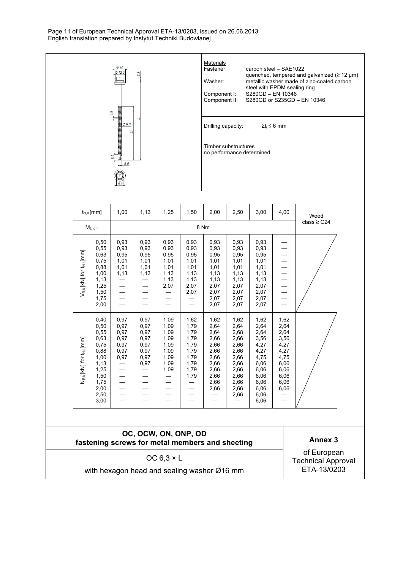Page 11 of European Technical Approval ETA-13/0203, issued on 26.06.2013 English translation prepared by Instytut Techniki Budowlanej



|                                   | $M_{t,nom}$                                                                                                  |                                                      | $class \geq C24$                                             |                                                                      |                                                                              |                                                                                              |                                                                                                      |                                                                                                              |                                                                                              |  |
|-----------------------------------|--------------------------------------------------------------------------------------------------------------|------------------------------------------------------|--------------------------------------------------------------|----------------------------------------------------------------------|------------------------------------------------------------------------------|----------------------------------------------------------------------------------------------|------------------------------------------------------------------------------------------------------|--------------------------------------------------------------------------------------------------------------|----------------------------------------------------------------------------------------------|--|
| $V_{R,k}$ [KN] for $t_{N,l}$ [mm] | 0,50<br>0,55<br>0,63<br>0,75<br>0,88<br>1,00<br>1,13<br>1,25<br>1,50<br>1,75<br>2,00                         | 0,93<br>0,93<br>0,95<br>1,01<br>1,01<br>1,13         | 0,93<br>0,93<br>0,95<br>1,01<br>1,01<br>1,13                 | 0,93<br>0,93<br>0,95<br>1,01<br>1,01<br>1,13<br>1,13<br>2,07         | 0,93<br>0,93<br>0,95<br>1,01<br>1,01<br>1,13<br>1,13<br>2,07<br>2,07         | 0,93<br>0,93<br>0,95<br>1,01<br>1,01<br>1,13<br>1,13<br>2,07<br>2,07<br>2,07<br>2,07         | 0,93<br>0,93<br>0,95<br>1,01<br>1,01<br>1,13<br>1,13<br>2,07<br>2,07<br>2,07<br>2,07                 | 0,93<br>0,93<br>0,95<br>1,01<br>1,01<br>1,13<br>1,13<br>2,07<br>2,07<br>2,07<br>2,07                         |                                                                                              |  |
| $N_{R,k}$ [KN] for $t_{N,l}$ [mm] | 0,40<br>0,50<br>0,55<br>0,63<br>0,75<br>0,88<br>1,00<br>1,13<br>1,25<br>1,50<br>1,75<br>2,00<br>2,50<br>3,00 | 0,97<br>0,97<br>0,97<br>0,97<br>0,97<br>0,97<br>0,97 | 0,97<br>0,97<br>0,97<br>0,97<br>0,97<br>0,97<br>0,97<br>0,97 | 1,09<br>1,09<br>1,09<br>1,09<br>1,09<br>1,09<br>1,09<br>1,09<br>1,09 | 1,62<br>1,79<br>1,79<br>1,79<br>1,79<br>1,79<br>1,79<br>1,79<br>1,79<br>1,79 | 1,62<br>2,64<br>2,64<br>2,66<br>2,66<br>2,66<br>2,66<br>2,66<br>2,66<br>2,66<br>2,66<br>2,66 | 1,62<br>2,64<br>2,68<br>2,66<br>2,66<br>2,66<br>2,66<br>2,66<br>2,66<br>2,66<br>2,66<br>2,66<br>2,66 | 1,62<br>2,64<br>2,64<br>3,56<br>4,27<br>4,27<br>4,75<br>6,06<br>6,06<br>6,06<br>6,06<br>6,06<br>6,06<br>6,06 | 1,62<br>2,64<br>2,64<br>3,56<br>4,27<br>4,27<br>4,75<br>6,06<br>6,06<br>6,06<br>6,06<br>6,06 |  |

#### **OC, OCW, ON, ONP, OD**  fastening screws for metal members and sheeting **Annex 3**

OC  $6,3 \times L$ 

with hexagon head and sealing washer Ø16 mm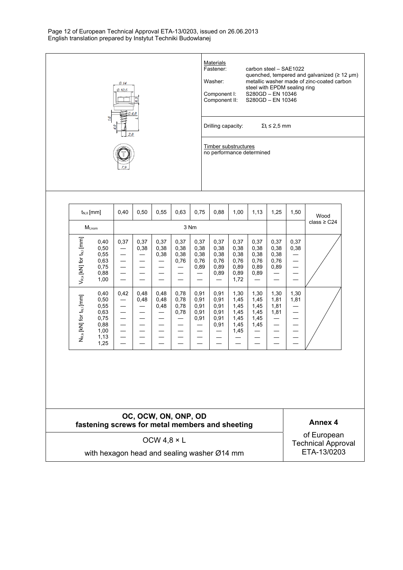Page 12 of European Technical Approval ETA-13/0203, issued on 26.06.2013 English translation prepared by Instytut Techniki Budowlanej



#### **OC, OCW, ON, ONP, OD fastening screws for metal members and sheeting Annex 4**

OCW 4,8 × L

with hexagon head and sealing washer Ø14 mm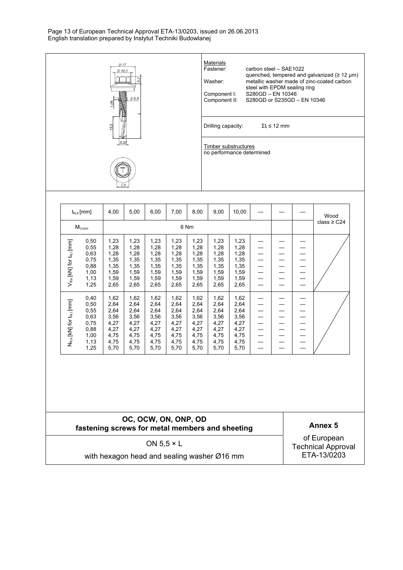Page 13 of European Technical Approval ETA-13/0203, issued on 26.06.2013 English translation prepared by Instytut Techniki Budowlanej



|                                                 | $t_{N,II}$ [mm]                                                      | 4,00                                                                 | 5,00                                                                 | 6,00                                                                 | 7,00                                                                 | 8,00                                                                 | 9,00                                                                 | 10,00                                                                |  | Wood<br>class $\geq$ C24 |
|-------------------------------------------------|----------------------------------------------------------------------|----------------------------------------------------------------------|----------------------------------------------------------------------|----------------------------------------------------------------------|----------------------------------------------------------------------|----------------------------------------------------------------------|----------------------------------------------------------------------|----------------------------------------------------------------------|--|--------------------------|
| $M_{t,nom}$                                     |                                                                      |                                                                      |                                                                      |                                                                      |                                                                      | 6 Nm                                                                 |                                                                      |                                                                      |  |                          |
| $V_{R,k}$ [KN] for $t_{N,l}$ [mm]               | 0,50<br>0,55<br>0,63<br>0,75<br>0,88<br>1,00<br>1,13<br>1,25         | 1,23<br>1,28<br>1,28<br>1,35<br>1,35<br>1,59<br>1,59<br>2,65         | 1,23<br>1,28<br>1,28<br>1,35<br>1,35<br>1,59<br>1,59<br>2,65         | 1,23<br>1,28<br>1,28<br>1,35<br>1,35<br>1,59<br>1,59<br>2,65         | 1,23<br>1,28<br>1,28<br>1,35<br>1,35<br>1,59<br>1,59<br>2,65         | 1,23<br>1,28<br>1,28<br>1,35<br>1,35<br>1,59<br>1,59<br>2,65         | 1,23<br>1,28<br>1,28<br>1,35<br>1,35<br>1,59<br>1,59<br>2,65         | 1,23<br>1,28<br>1,28<br>1,35<br>1,35<br>1,59<br>1,59<br>2,65         |  |                          |
| N <sub>R,k</sub> [KN] for t <sub>N,I</sub> [mm] | 0,40<br>0,50<br>0,55<br>0,63<br>0,75<br>0,88<br>1,00<br>1,13<br>1,25 | 1,62<br>2,64<br>2,64<br>3,56<br>4,27<br>4,27<br>4,75<br>4,75<br>5,70 | 1,62<br>2,64<br>2,64<br>3,56<br>4,27<br>4,27<br>4,75<br>4,75<br>5,70 | 1,62<br>2,64<br>2,64<br>3,56<br>4,27<br>4,27<br>4,75<br>4,75<br>5,70 | 1,62<br>2,64<br>2,64<br>3,56<br>4,27<br>4,27<br>4,75<br>4,75<br>5,70 | 1,62<br>2,64<br>2,64<br>3,56<br>4,27<br>4,27<br>4,75<br>4,75<br>5,70 | 1,62<br>2,64<br>2,64<br>3,56<br>4,27<br>4,27<br>4,75<br>4,75<br>5,70 | 1,62<br>2,64<br>2,64<br>3,56<br>4,27<br>4,27<br>4,75<br>4,75<br>5,70 |  |                          |

#### **OC, OCW, ON, ONP, OD**  fastening screws for metal members and sheeting **Annex 5**

ON 5,5 × L

with hexagon head and sealing washer Ø16 mm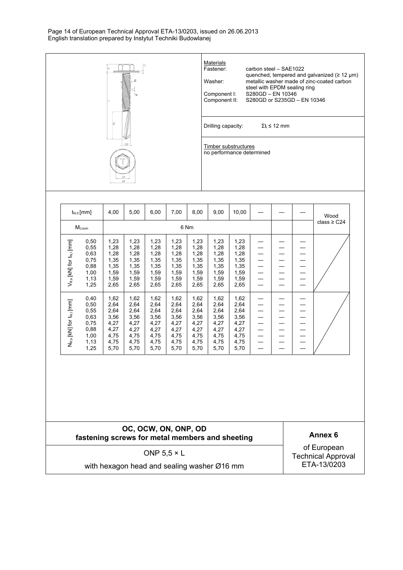Page 14 of European Technical Approval ETA-13/0203, issued on 26.06.2013 English translation prepared by Instytut Techniki Budowlanej



|                                                 | $t_{N,II}$ [mm]                                                      | 4,00                                                                 | 5,00                                                                 | 6,00                                                                 | 7,00                                                                 | 8,00                                                                 | 9,00                                                                 | 10,00                                                                |  |  | Wood |
|-------------------------------------------------|----------------------------------------------------------------------|----------------------------------------------------------------------|----------------------------------------------------------------------|----------------------------------------------------------------------|----------------------------------------------------------------------|----------------------------------------------------------------------|----------------------------------------------------------------------|----------------------------------------------------------------------|--|--|------|
|                                                 | $M_{t,nom}$                                                          |                                                                      |                                                                      |                                                                      |                                                                      | class $\geq$ C24                                                     |                                                                      |                                                                      |  |  |      |
| $V_{R,k}$ [KN] for $t_{N,i}$ [mm]               | 0,50<br>0,55<br>0,63<br>0,75<br>0,88<br>1,00<br>1,13<br>1,25         | 1,23<br>1,28<br>1,28<br>1,35<br>1,35<br>1,59<br>1,59<br>2,65         | 1,23<br>1,28<br>1,28<br>1,35<br>1,35<br>1,59<br>1,59<br>2,65         | 1,23<br>1,28<br>1,28<br>1,35<br>1,35<br>1,59<br>1,59<br>2,65         | 1,23<br>1,28<br>1,28<br>1,35<br>1,35<br>1,59<br>1,59<br>2,65         | 1,23<br>1,28<br>1,28<br>1,35<br>1,35<br>1,59<br>1,59<br>2,65         | 1,23<br>1,28<br>1,28<br>1,35<br>1,35<br>1,59<br>1,59<br>2,65         | 1,23<br>1,28<br>1,28<br>1,35<br>1,35<br>1,59<br>1,59<br>2,65         |  |  |      |
| N <sub>R.k</sub> [KN] for t <sub>N.I</sub> [mm] | 0,40<br>0,50<br>0,55<br>0,63<br>0,75<br>0,88<br>1,00<br>1,13<br>1,25 | 1,62<br>2,64<br>2,64<br>3,56<br>4,27<br>4,27<br>4,75<br>4,75<br>5,70 | 1,62<br>2,64<br>2,64<br>3,56<br>4,27<br>4,27<br>4,75<br>4,75<br>5,70 | 1,62<br>2,64<br>2,64<br>3,56<br>4,27<br>4,27<br>4,75<br>4,75<br>5,70 | 1,62<br>2,64<br>2,64<br>3,56<br>4,27<br>4,27<br>4,75<br>4,75<br>5,70 | 1,62<br>2,64<br>2,64<br>3,56<br>4,27<br>4,27<br>4,75<br>4,75<br>5,70 | 1,62<br>2,64<br>2,64<br>3,56<br>4,27<br>4,27<br>4,75<br>4,75<br>5,70 | 1,62<br>2,64<br>2,64<br>3,56<br>4,27<br>4,27<br>4,75<br>4,75<br>5,70 |  |  |      |

#### **OC, OCW, ON, ONP, OD**  fastening screws for metal members and sheeting **Annex 6**

ONP  $5,5 \times L$ 

with hexagon head and sealing washer Ø16 mm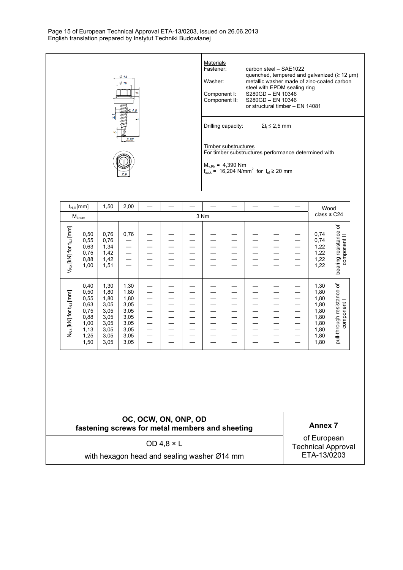Page 15 of European Technical Approval ETA-13/0203, issued on 26.06.2013 English translation prepared by Instytut Techniki Budowlanej



#### **OC, OCW, ON, ONP, OD fastening screws for metal members and sheeting Annex 7**

0,75 0,88 1,00 1,13 1,25 1,50

3,05 3,05 3,05 3,05 3,05 3,05

3,05 3,05  $3.05$  $3,05$ 3,05 3,05

— — — — — — — — — — — — — — — — — — — — — — — — — — — — — — — — — — — — — — — — — — — — — — — — 1,80 1,80 1,80 1,80 1,80 1,80

OD 4,8 × L

with hexagon head and sealing washer Ø14 mm